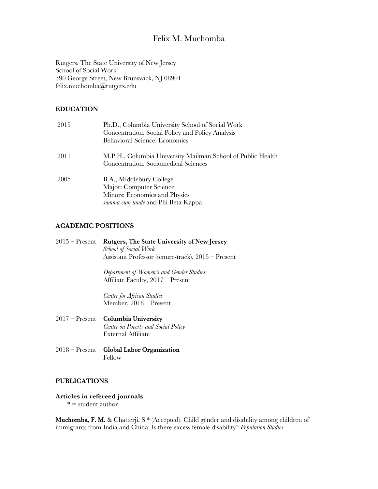# Felix M. Muchomba

Rutgers, The State University of New Jersey School of Social Work 390 George Street, New Brunswick, NJ 08901 felix.muchomba@rutgers.edu

## **EDUCATION**

| 2015 | Ph.D., Columbia University School of Social Work<br>Concentration: Social Policy and Policy Analysis<br><b>Behavioral Science: Economics</b> |
|------|----------------------------------------------------------------------------------------------------------------------------------------------|
| 2011 | M.P.H., Columbia University Mailman School of Public Health<br><b>Concentration: Sociomedical Sciences</b>                                   |
| 2005 | B.A., Middlebury College<br>Major: Computer Science<br>Minors: Economics and Physics<br>summa cum laude and Phi Beta Kappa                   |

## **ACADEMIC POSITIONS**

| $2015$ – Present | <b>Rutgers, The State University of New Jersey</b>   |
|------------------|------------------------------------------------------|
|                  | School of Social Work                                |
|                  | Assistant Professor (tenure-track), $2015$ – Present |
|                  | Department of Women's and Gender Studies             |
|                  | Affiliate Faculty, $2017 -$ Present                  |

*Center for African Studies* Member, 2018 – Present

- 2017 Present **Columbia University** *Center on Poverty and Social Policy* External Affiliate
- 2018 Present **Global Labor Organization** Fellow

# **PUBLICATIONS**

# **Articles in refereed journals**

 $* =$  student author

**Muchomba, F. M.** & Chatterji, S.\* (Accepted). Child gender and disability among children of immigrants from India and China: Is there excess female disability? *Population Studies*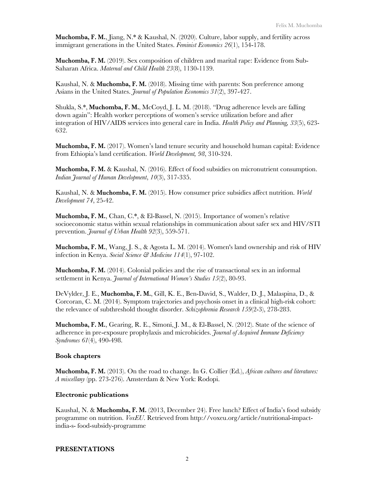**Muchomba, F. M.**, Jiang, N.\* & Kaushal, N. (2020). Culture, labor supply, and fertility across immigrant generations in the United States. *Feminist Economics 26*(1), 154-178.

**Muchomba, F. M.** (2019). Sex composition of children and marital rape: Evidence from Sub-Saharan Africa. *Maternal and Child Health 23*(8), 1130-1139.

Kaushal, N. & **Muchomba, F. M.** (2018). Missing time with parents: Son preference among Asians in the United States. *Journal of Population Economics 31*(2), 397-427.

Shukla, S.\*, **Muchomba, F. M.**, McCoyd, J. L. M. (2018). "Drug adherence levels are falling down again": Health worker perceptions of women's service utilization before and after integration of HIV/AIDS services into general care in India. *Health Policy and Planning, 33*(5), 623- 632.

**Muchomba, F. M.** (2017). Women's land tenure security and household human capital: Evidence from Ethiopia's land certification. *World Development, 98*, 310-324.

**Muchomba, F. M.** & Kaushal, N. (2016). Effect of food subsidies on micronutrient consumption. *Indian Journal of Human Development*, *10*(3), 317-335.

Kaushal, N. & **Muchomba, F. M.** (2015). How consumer price subsidies affect nutrition. *World Development 74*, 25-42.

**Muchomba, F. M.**, Chan, C.\*, & El-Bassel, N. (2015). Importance of women's relative socioeconomic status within sexual relationships in communication about safer sex and HIV/STI prevention. *Journal of Urban Health 92*(3), 559-571.

**Muchomba, F. M.**, Wang, J. S., & Agosta L. M. (2014). Women's land ownership and risk of HIV infection in Kenya. *Social Science & Medicine 114*(1), 97-102.

**Muchomba, F. M.** (2014). Colonial policies and the rise of transactional sex in an informal settlement in Kenya. *Journal of International Women's Studies 15*(2), 80-93.

DeVylder, J. E., **Muchomba, F. M.**, Gill, K. E., Ben-David, S., Walder, D. J., Malaspina, D., & Corcoran, C. M. (2014). Symptom trajectories and psychosis onset in a clinical high-risk cohort: the relevance of subthreshold thought disorder. *Schizophrenia Research 159*(2-3), 278-283.

**Muchomba, F. M.**, Gearing, R. E., Simoni, J. M., & El-Bassel, N. (2012). State of the science of adherence in pre-exposure prophylaxis and microbicides. *Journal of Acquired Immune Deficiency Syndromes 61*(4), 490-498.

#### **Book chapters**

**Muchomba, F. M.** (2013). On the road to change. In G. Collier (Ed.), *African cultures and literatures: A miscellany* (pp. 273-276). Amsterdam & New York: Rodopi.

#### **Electronic publications**

Kaushal, N. & **Muchomba, F. M.** (2013, December 24). Free lunch? Effect of India's food subsidy programme on nutrition. *VoxEU*. Retrieved from http://voxeu.org/article/nutritional-impactindia-s- food-subsidy-programme

#### **PRESENTATIONS**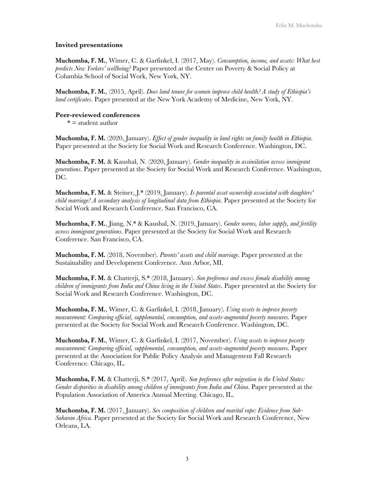#### **Invited presentations**

**Muchomba, F. M.**, Wimer, C. & Garfinkel, I. (2017, May). *Consumption, income, and assets: What best predicts New Yorkers' wellbeing?* Paper presented at the Center on Poverty & Social Policy at Columbia School of Social Work, New York, NY.

**Muchomba, F. M.**, (2015, April). *Does land tenure for women improve child health? A study of Ethiopia's land certificates*. Paper presented at the New York Academy of Medicine, New York, NY.

#### **Peer-reviewed conferences**

 $* =$  student author

**Muchomba, F. M.** (2020, January). *Effect of gender inequality in land rights on family health in Ethiopia*. Paper presented at the Society for Social Work and Research Conference. Washington, DC.

**Muchomba, F. M.** & Kaushal, N. (2020, January). *Gender inequality in assimilation across immigrant generations*. Paper presented at the Society for Social Work and Research Conference. Washington, DC.

**Muchomba, F. M.** & Steiner, J.\* (2019, January). *Is parental asset ownership associated with daughters' child marriage? A secondary analysis of longitudinal data from Ethiopia*. Paper presented at the Society for Social Work and Research Conference. San Francisco, CA.

**Muchomba, F. M.**, Jiang, N.\* & Kaushal, N. (2019, January). *Gender norms, labor supply, and fertility across immigrant generations*. Paper presented at the Society for Social Work and Research Conference. San Francisco, CA.

**Muchomba, F. M.** (2018, November). *Parents' assets and child marriage*. Paper presented at the Sustainability and Development Conference. Ann Arbor, MI.

**Muchomba, F. M.** & Chatterji, S.\* (2018, January). *Son preference and excess female disability among children of immigrants from India and China living in the United States*. Paper presented at the Society for Social Work and Research Conference. Washington, DC.

**Muchomba, F. M.**, Wimer, C. & Garfinkel, I. (2018, January). *Using assets to improve poverty measurement: Comparing official, supplemental, consumption, and assets-augmented poverty measures.* Paper presented at the Society for Social Work and Research Conference. Washington, DC.

**Muchomba, F. M.**, Wimer, C. & Garfinkel, I. (2017, November). *Using assets to improve poverty measurement: Comparing official, supplemental, consumption, and assets-augmented poverty measures.* Paper presented at the Association for Public Policy Analysis and Management Fall Research Conference. Chicago, IL.

**Muchomba, F. M.** & Chatterji, S.\* (2017, April). *Son preference after migration to the United States: Gender disparities in disability among children of immigrants from India and China*. Paper presented at the Population Association of America Annual Meeting. Chicago, IL.

**Muchomba, F. M.** (2017, January). *Sex composition of children and marital rape: Evidence from Sub-Saharan Africa*. Paper presented at the Society for Social Work and Research Conference, New Orleans, LA.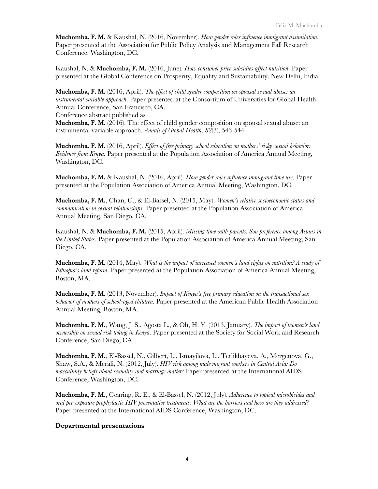**Muchomba, F. M.** & Kaushal, N. (2016, November). *How gender roles influence immigrant assimilation*. Paper presented at the Association for Public Policy Analysis and Management Fall Research Conference. Washington, DC.

Kaushal, N. & **Muchomba, F. M.** (2016, June). *How consumer price subsidies affect nutrition*. Paper presented at the Global Conference on Prosperity, Equality and Sustainability. New Delhi, India.

**Muchomba, F. M.** (2016, April). *The effect of child gender composition on spousal sexual abuse: an instrumental variable approach*. Paper presented at the Consortium of Universities for Global Health Annual Conference, San Francisco, CA. Conference abstract published as

**Muchomba, F. M.** (2016). The effect of child gender composition on spousal sexual abuse: an instrumental variable approach. *Annals of Global Health*, *82*(3), 543-544.

**Muchomba, F. M.** (2016, April). *Effect of free primary school education on mothers' risky sexual behavior: Evidence from Kenya*. Paper presented at the Population Association of America Annual Meeting, Washington, DC.

**Muchomba, F. M.** & Kaushal, N. (2016, April). *How gender roles influence immigrant time use*. Paper presented at the Population Association of America Annual Meeting, Washington, DC.

**Muchomba, F. M.**, Chan, C., & El-Bassel, N. (2015, May). *Women's relative socioeconomic status and communication in sexual relationships*. Paper presented at the Population Association of America Annual Meeting, San Diego, CA.

Kaushal, N. & **Muchomba, F. M.** (2015, April). *Missing time with parents: Son preference among Asians in the United States*. Paper presented at the Population Association of America Annual Meeting, San Diego, CA.

**Muchomba, F. M.** (2014, May). *What is the impact of increased women's land rights on nutrition? A study of Ethiopia's land reform*. Paper presented at the Population Association of America Annual Meeting, Boston, MA.

**Muchomba, F. M.** (2013, November). *Impact of Kenya's free primary education on the transactional sex behavior of mothers of school-aged children.* Paper presented at the American Public Health Association Annual Meeting, Boston, MA.

**Muchomba, F. M.**, Wang, J. S., Agosta L., & Oh, H. Y. (2013, January). *The impact of women's land ownership on sexual risk taking in Kenya*. Paper presented at the Society for Social Work and Research Conference, San Diego, CA.

**Muchomba, F. M.**, El-Bassel, N., Gilbert, L., Ismayilova, L., Terlikbayeva, A., Mergenova, G., Shaw, S.A., & Merali, N. (2012, July). *HIV risk among male migrant workers in Central Asia: Do masculinity beliefs about sexuality and marriage matter?* Paper presented at the International AIDS Conference, Washington, DC.

**Muchomba, F. M.**, Gearing, R. E., & El-Bassel, N. (2012, July). *Adherence to topical microbicides and oral pre-exposure prophylactic HIV preventative treatments: What are the barriers and how are they addressed?* Paper presented at the International AIDS Conference, Washington, DC.

#### **Departmental presentations**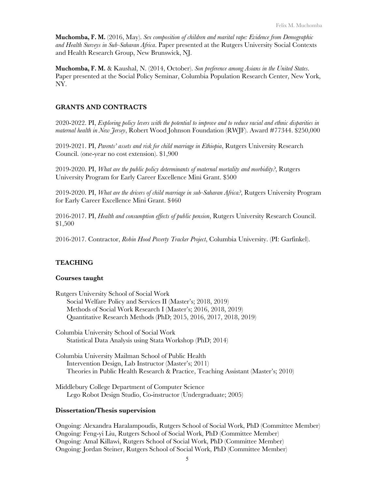**Muchomba, F. M.** (2016, May). *Sex composition of children and marital rape: Evidence from Demographic and Health Surveys in Sub-Saharan Africa*. Paper presented at the Rutgers University Social Contexts and Health Research Group, New Brunswick, NJ.

**Muchomba, F. M.** & Kaushal, N. (2014, October). *Son preference among Asians in the United States*. Paper presented at the Social Policy Seminar, Columbia Population Research Center, New York, NY.

## **GRANTS AND CONTRACTS**

2020-2022. PI, *Exploring policy levers with the potential to improve and to reduce racial and ethnic disparities in maternal health in New Jersey*, Robert Wood Johnson Foundation (RWJF). Award #77344. \$250,000

2019-2021. PI, *Parents' assets and risk for child marriage in Ethiopia*, Rutgers University Research Council. (one-year no cost extension). \$1,900

2019-2020. PI, *What are the public policy determinants of maternal mortality and morbidity?*, Rutgers University Program for Early Career Excellence Mini Grant. \$500

2019-2020. PI, *What are the drivers of child marriage in sub-Saharan Africa?*, Rutgers University Program for Early Career Excellence Mini Grant. \$460

2016-2017. PI, *Health and consumption effects of public pension*, Rutgers University Research Council. \$1,500

2016-2017. Contractor, *Robin Hood Poverty Tracker Project*, Columbia University. (PI: Garfinkel).

#### **TEACHING**

#### **Courses taught**

Rutgers University School of Social Work Social Welfare Policy and Services II (Master's; 2018, 2019) Methods of Social Work Research I (Master's; 2016, 2018, 2019) Quantitative Research Methods (PhD; 2015, 2016, 2017, 2018, 2019)

Columbia University School of Social Work Statistical Data Analysis using Stata Workshop (PhD; 2014)

Columbia University Mailman School of Public Health Intervention Design, Lab Instructor (Master's; 2011) Theories in Public Health Research & Practice, Teaching Assistant (Master's; 2010)

Middlebury College Department of Computer Science Lego Robot Design Studio, Co-instructor (Undergraduate; 2005)

#### **Dissertation/Thesis supervision**

Ongoing: Alexandra Haralampoudis, Rutgers School of Social Work, PhD (Committee Member) Ongoing: Feng-yi Liu, Rutgers School of Social Work, PhD (Committee Member) Ongoing: Amal Killawi, Rutgers School of Social Work, PhD (Committee Member) Ongoing: Jordan Steiner, Rutgers School of Social Work, PhD (Committee Member)